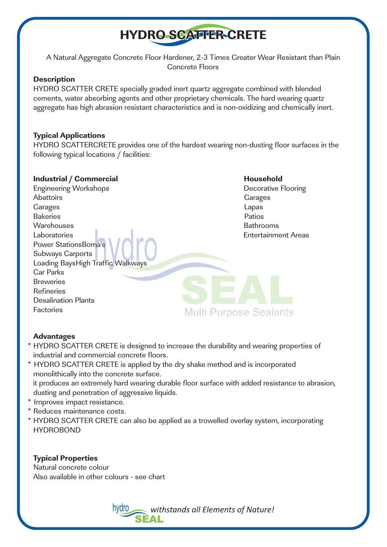# **HYDRO SCATTER CRETE**

A Natural Aggregate Concrete Floor Hardener, 2-3 Times Greater Wear Resistant than Plain Concrete Floors

#### **Description**

HYDRO SCATTER CRETE specially graded inert quartz aggregate combined with blended cements, water absorbing agents and other proprietary chemicals. The hard wearing quartz aggregate has high abrasion resistant characteristics and is non-oxidizing and chemically inert.

#### **Typical Applications**

HYDRO SCATTERCRETE provides one of the hardest wearing non-dusting floor surfaces in the following typical locations / facilities:

#### **Industrial / Commercial discusses and the United States Household**

Engineering Workshops **Decorative Flooring** Abattoirs **Garages** Carages Carages **Lapas Carages Lapas** Bakeries **Pations** Warehouses Bathrooms Laboratories Entertainment Areas Power StationsBoma's Subways Carports Loading BaysHigh Traffic Walkways Car Parks **Breweries** Refineries Desalination Plants Factories

**Multi Purpose Sealants** 

# **Advantages**

- \* HYDRO SCATTER CRETE is designed to increase the durability and wearing properties of industrial and commercial concrete floors.
- \* HYDRO SCATTER CRETE is applied by the dry shake method and is incorporated monolithically into the concrete surface.

 it produces an extremely hard wearing durable floor surface with added resistance to abrasion, dusting and penetration of aggressive liquids.

- \* Improves impact resistance.
- \* Reduces maintenance costs.
- \* HYDRO SCATTER CRETE can also be applied as a trowelled overlay system, incorporating HYDROBOND

#### **Typical Properties**

Natural concrete colour Also available in other colours - see chart